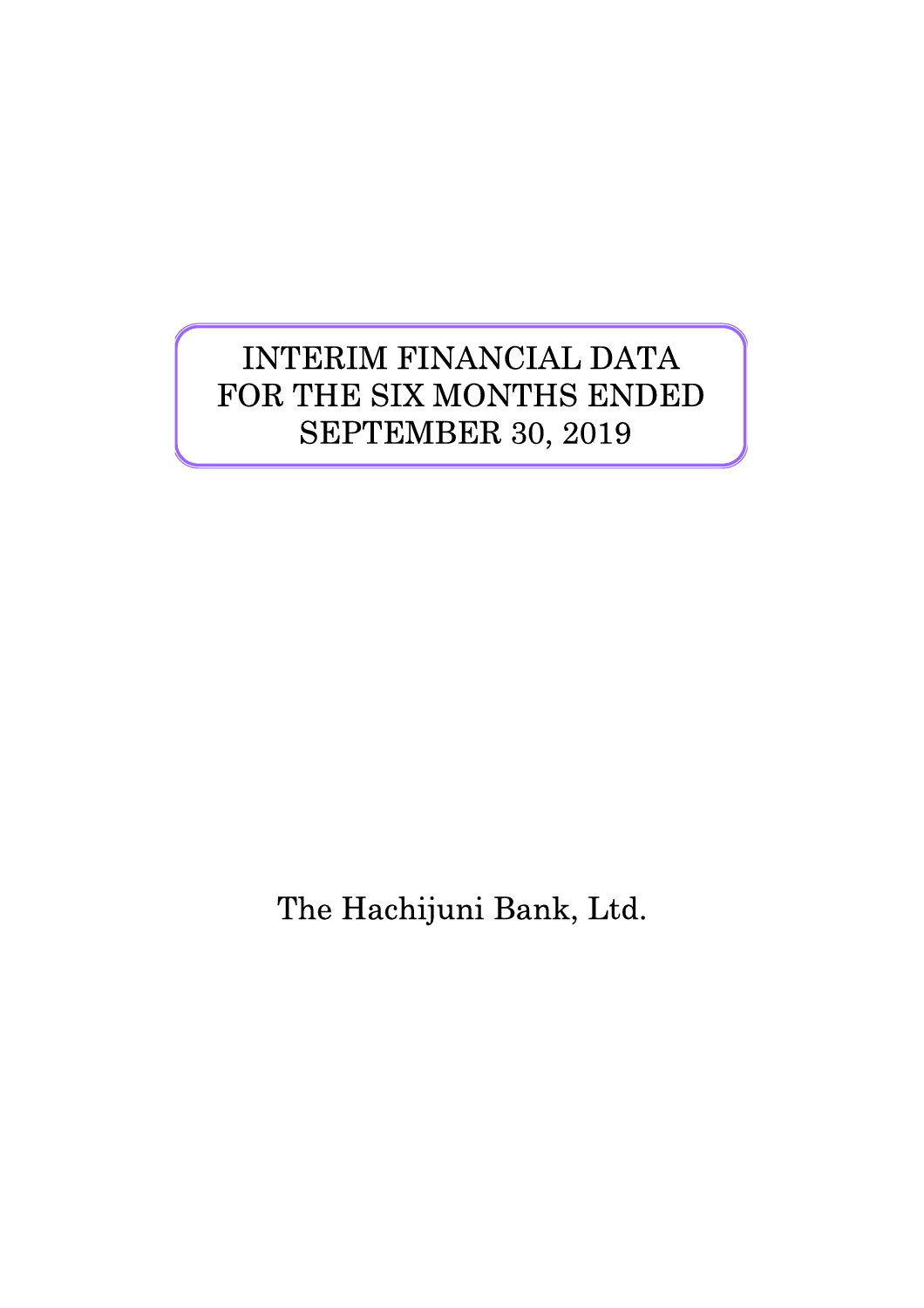# INTERIM FINANCIAL DATA FOR THE SIX MONTHS ENDED SEPTEMBER 30, 2019

The Hachijuni Bank, Ltd.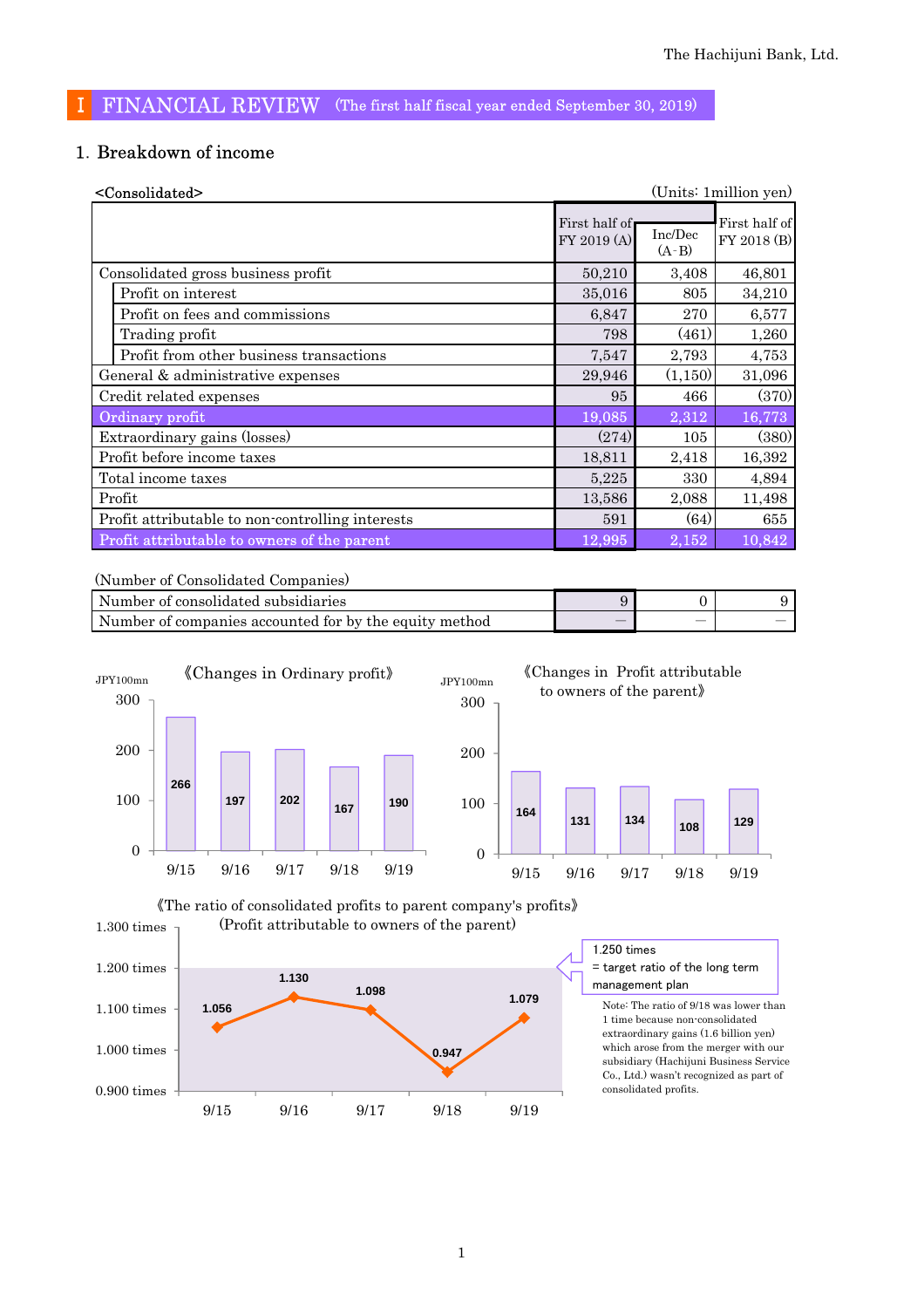## Ⅰ FINANCIAL REVIEW (The first half fiscal year ended September 30, 2019)

## 1.Breakdown of income

| <consolidated></consolidated>                    |                              |                    | (Units: 1 million yen)       |
|--------------------------------------------------|------------------------------|--------------------|------------------------------|
|                                                  | First half of<br>FY 2019 (A) | Inc/Dec<br>$(A-B)$ | First half of<br>FY 2018 (B) |
| Consolidated gross business profit               | 50,210                       | 3,408              | 46,801                       |
| Profit on interest                               | 35,016                       | 805                | 34,210                       |
| Profit on fees and commissions                   | 6,847                        | 270                | 6,577                        |
| Trading profit                                   | 798                          | (461)              | 1,260                        |
| Profit from other business transactions          | 7,547                        | 2,793              | 4,753                        |
| General & administrative expenses                | 29,946                       | (1,150)            | 31,096                       |
| Credit related expenses                          | 95                           | 466                | (370)                        |
| Ordinary profit                                  | 19,085                       | 2,312              | 16,773                       |
| Extraordinary gains (losses)                     | (274)                        | 105                | (380)                        |
| Profit before income taxes                       | 18,811                       | 2,418              | 16,392                       |
| Total income taxes                               | 5,225                        | 330                | 4,894                        |
| Profit                                           | 13,586                       | 2,088              | 11,498                       |
| Profit attributable to non-controlling interests | 591                          | (64)               | 655                          |
| Profit attributable to owners of the parent      | 12,995                       | 2,152              | 10,842                       |

(Number of Consolidated Companies)

| Number of consolidated subsidiaries                    |   |  |
|--------------------------------------------------------|---|--|
| Number of companies accounted for by the equity method | _ |  |







extraordinary gains (1.6 billion yen) which arose from the merger with our subsidiary (Hachijuni Business Service Co., Ltd.) wasn't recognized as part of consolidated profits.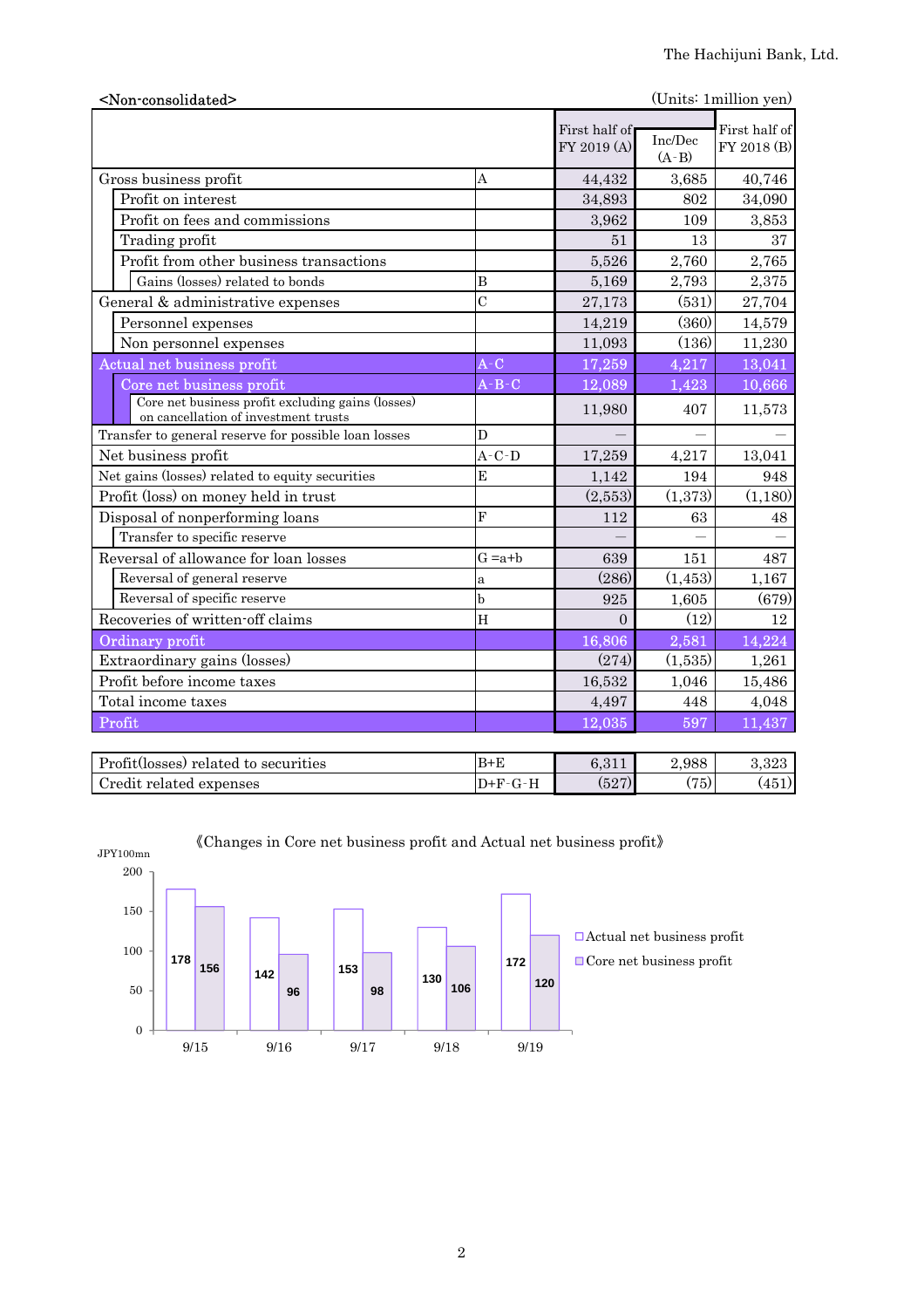| (Units: 1 million yen)<br><non-consolidated></non-consolidated>                           |                |                              |                      |                              |  |  |
|-------------------------------------------------------------------------------------------|----------------|------------------------------|----------------------|------------------------------|--|--|
|                                                                                           |                | First half of<br>FY 2019 (A) | Inc/Dec<br>$(A - B)$ | First half of<br>FY 2018 (B) |  |  |
| Gross business profit                                                                     | A              | 44,432                       | 3,685                | 40,746                       |  |  |
| Profit on interest                                                                        |                | 34,893                       | 802                  | 34,090                       |  |  |
| Profit on fees and commissions                                                            |                | 3,962                        | 109                  | 3,853                        |  |  |
| Trading profit                                                                            |                | 51                           | 13                   | 37                           |  |  |
| Profit from other business transactions                                                   |                | 5,526                        | 2,760                | 2,765                        |  |  |
| Gains (losses) related to bonds                                                           | B              | 5,169                        | 2,793                | 2,375                        |  |  |
| General & administrative expenses                                                         | $\overline{C}$ | 27,173                       | (531)                | 27,704                       |  |  |
| Personnel expenses                                                                        |                | 14,219                       | (360)                | 14,579                       |  |  |
| Non personnel expenses                                                                    |                | 11,093                       | (136)                | 11,230                       |  |  |
| Actual net business profit                                                                | $A-C$          | 17,259                       | 4,217                | 13,041                       |  |  |
| Core net business profit                                                                  | $A - B - C$    | 12,089                       | 1,423                | 10,666                       |  |  |
| Core net business profit excluding gains (losses)<br>on cancellation of investment trusts |                | 11,980                       | 407                  | 11,573                       |  |  |
| Transfer to general reserve for possible loan losses                                      | D              |                              |                      |                              |  |  |
| Net business profit                                                                       | $A-C-D$        | 17,259                       | 4,217                | 13,041                       |  |  |
| Net gains (losses) related to equity securities                                           | E              | 1,142                        | 194                  | 948                          |  |  |
| Profit (loss) on money held in trust                                                      |                | (2,553)                      | (1,373)              | (1,180)                      |  |  |
| Disposal of nonperforming loans                                                           | $\mathbf{F}$   | 112                          | 63                   | 48                           |  |  |
| Transfer to specific reserve                                                              |                |                              |                      |                              |  |  |
| Reversal of allowance for loan losses                                                     | $G = a + b$    | 639                          | 151                  | 487                          |  |  |
| Reversal of general reserve                                                               | $\mathbf{a}$   | (286)                        | (1, 453)             | 1,167                        |  |  |
| Reversal of specific reserve                                                              | b              | 925                          | 1,605                | (679)                        |  |  |
| Recoveries of written-off claims                                                          | H              | $\Omega$                     | (12)                 | 12                           |  |  |
| Ordinary profit                                                                           |                | 16,806                       | 2,581                | 14,224                       |  |  |
| Extraordinary gains (losses)                                                              |                | (274)                        | (1,535)              | 1,261                        |  |  |
| Profit before income taxes                                                                |                | 16,532                       | 1,046                | 15,486                       |  |  |
| Total income taxes                                                                        |                | 4,497                        | 448                  | 4,048                        |  |  |
| Profit                                                                                    |                | 12,035                       | 597                  | 11,437                       |  |  |
| Profit(losses) related to securities                                                      | $B+E$          | 6,311                        | 2,988                | 3,323                        |  |  |



《Changes in Core net business profit and Actual net business profit》

Credit related expenses  $D+F-G-H$  (527) (75) (451)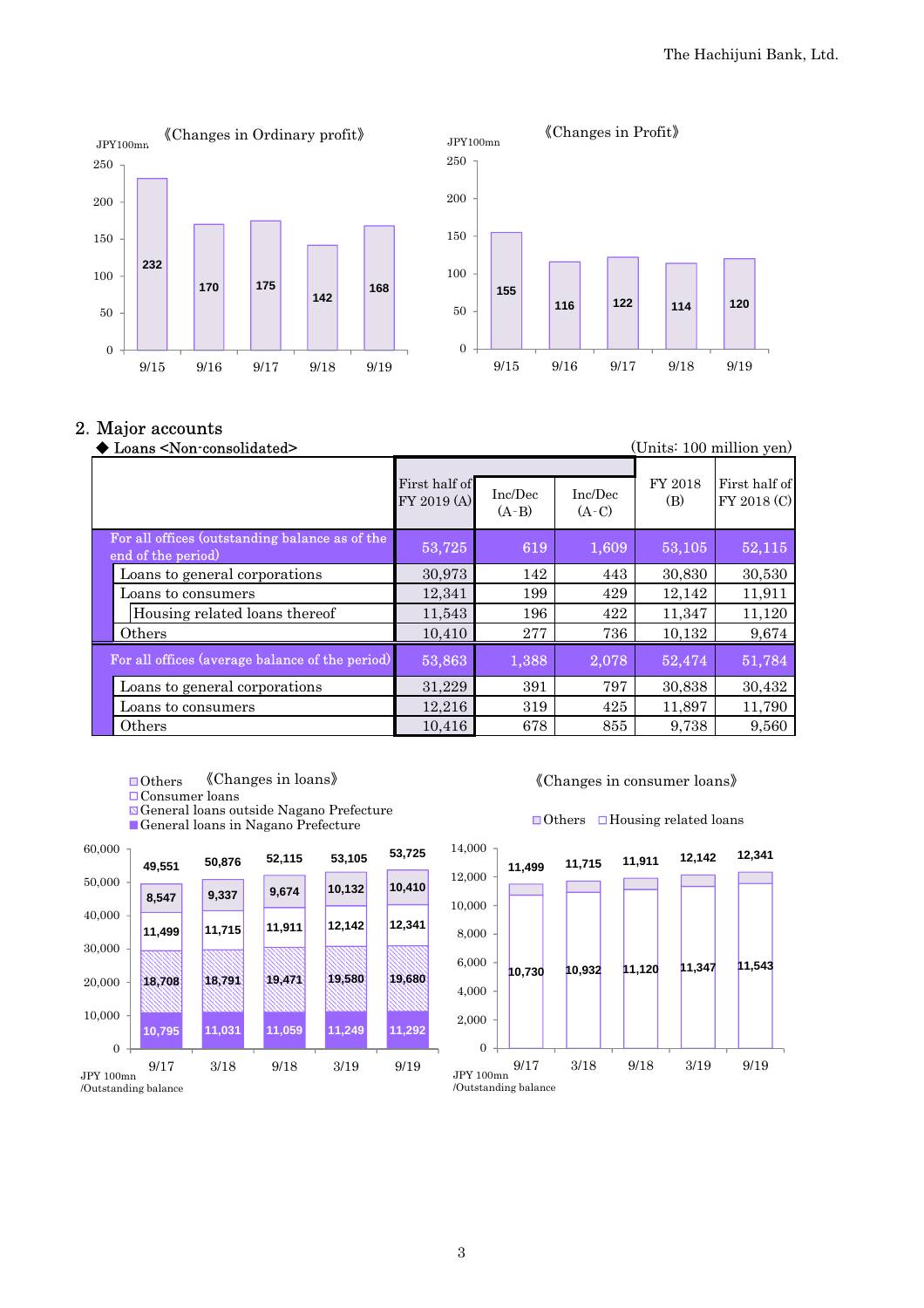

#### 2.Major accounts

| Loans <non-consolidated></non-consolidated>                          | (Units: 100 million yen)     |                    |                    |                |                              |
|----------------------------------------------------------------------|------------------------------|--------------------|--------------------|----------------|------------------------------|
|                                                                      | First half of<br>FY 2019 (A) | Inc/Dec<br>$(A-B)$ | Inc/Dec<br>$(A-C)$ | FY 2018<br>(B) | First half of<br>FY 2018 (C) |
| For all offices (outstanding balance as of the<br>end of the period) | 53,725                       | 619                | 1,609              | 53,105         | 52,115                       |
| Loans to general corporations                                        | 30,973                       | 142                | 443                | 30,830         | 30,530                       |
| Loans to consumers                                                   | 12,341                       | 199                | 429                | 12,142         | 11,911                       |
| Housing related loans thereof                                        | 11,543                       | 196                | 422                | 11,347         | 11,120                       |
| Others                                                               | 10,410                       | 277                | 736                | 10,132         | 9,674                        |
| For all offices (average balance of the period)                      | 53,863                       | 1,388              | 2,078              | 52,474         | 51,784                       |
| Loans to general corporations                                        | 31,229                       | 391                | 797                | 30,838         | 30,432                       |
| Loans to consumers                                                   | 12,216                       | 319                | 425                | 11,897         | 11,790                       |
| Others                                                               | 10,416                       | 678                | 855                | 9,738          | 9,560                        |

- ■Others 《Changes in loans》
- Consumer loans

General loans outside Nagano Prefecture

General loans in Nagano Prefecture





#### $\Box$ Others  $\Box$ Housing related loans

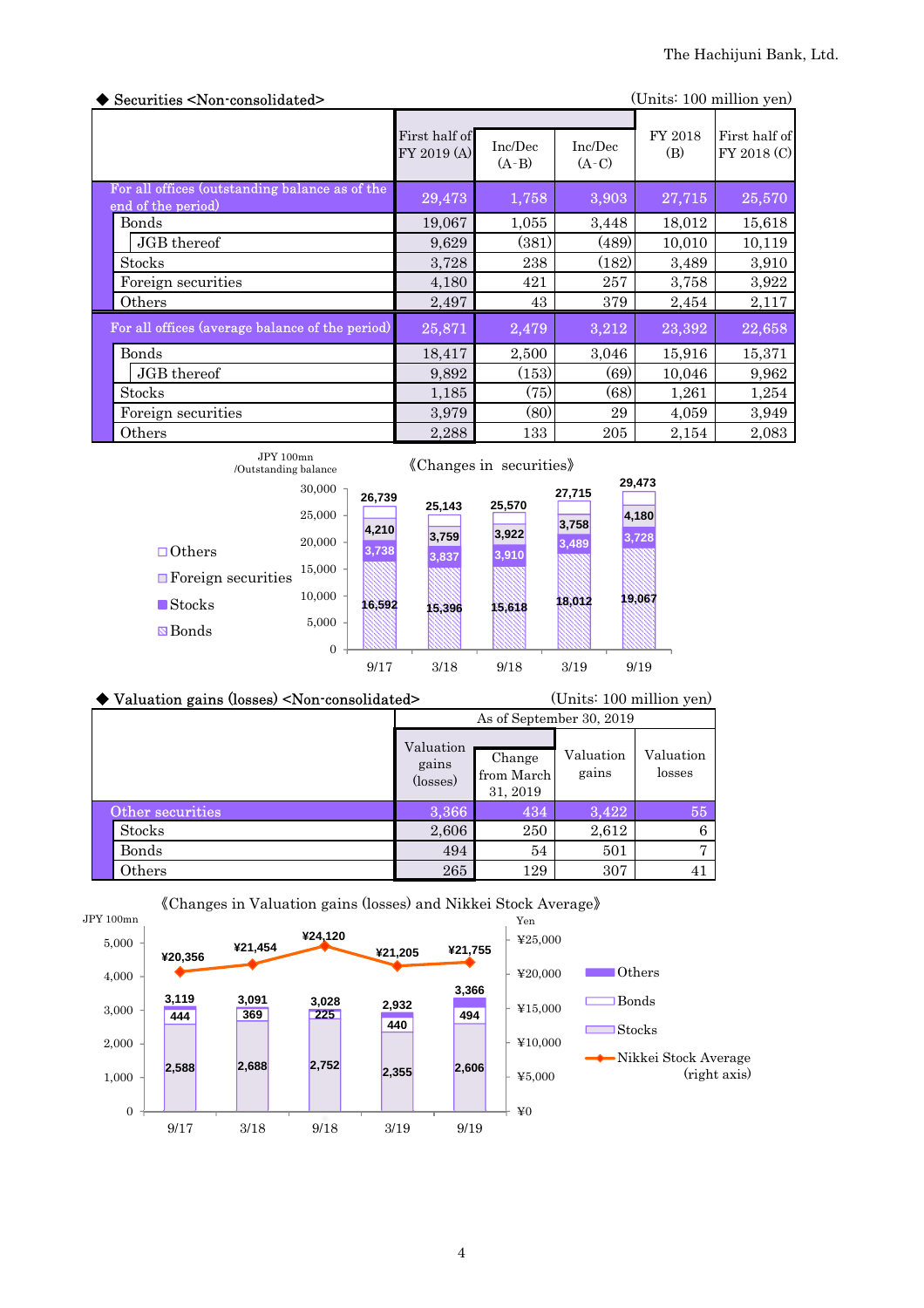| Securities <non-consolidated><br/>(Units: 100 million yen)</non-consolidated> |                              |                    |                    |                |                              |
|-------------------------------------------------------------------------------|------------------------------|--------------------|--------------------|----------------|------------------------------|
|                                                                               | First half of<br>FY 2019 (A) | Inc/Dec<br>$(A-B)$ | Inc/Dec<br>$(A-C)$ | FY 2018<br>(B) | First half of<br>FY 2018 (C) |
| For all offices (outstanding balance as of the<br>end of the period)          | 29,473                       | 1,758              | 3,903              | 27,715         | 25,570                       |
| Bonds                                                                         | 19,067                       | 1,055              | 3,448              | 18,012         | 15,618                       |
| JGB thereof                                                                   | 9,629                        | (381)              | (489)              | 10,010         | 10,119                       |
| <b>Stocks</b>                                                                 | 3,728                        | 238                | (182)              | 3,489          | 3,910                        |
| Foreign securities                                                            | 4,180                        | 421                | 257                | 3,758          | 3,922                        |
| Others                                                                        | 2,497                        | 43                 | 379                | 2,454          | 2,117                        |
| For all offices (average balance of the period)                               | 25,871                       | 2,479              | 3,212              | 23,392         | 22,658                       |
| Bonds                                                                         | 18,417                       | 2,500              | 3,046              | 15,916         | 15,371                       |
| JGB thereof                                                                   | 9,892                        | (153)              | (69)               | 10,046         | 9,962                        |
| <b>Stocks</b>                                                                 | 1,185                        | (75)               | (68)               | 1,261          | 1,254                        |
| Foreign securities                                                            | 3,979                        | (80)               | 29                 | 4,059          | 3,949                        |
| Others                                                                        | 2,288                        | 133                | 205                | 2,154          | 2,083                        |

| JPY 100mn<br>/Outstanding balance                  |                         |                | «Changes in securities» |                |                |                 |
|----------------------------------------------------|-------------------------|----------------|-------------------------|----------------|----------------|-----------------|
|                                                    | 30,000<br>25,000        | 26,739         | 25.143                  | 25,570         | 27,715         | 29,473<br>4,180 |
| $\Box\!\!\!\!\!\!\!\text{ Others}$                 | 20,000<br>15,000        | 4,210<br>3,738 | 3,759<br>3,837          | 3,922<br>3,910 | 3,758<br>3,489 | 3,728           |
| $\Box$ Foreign securities<br>$\blacksquare$ Stocks | 10.000                  | 16.592         | 15,396                  | 15,618         | 18.012         | 19,067          |
| <b>⊠</b> Bonds                                     | 5,000<br>$\overline{0}$ | 9/17           | 3/18                    | 9/18           | 3/19           | 9/19            |

| ◆ Valuation gains (losses) <non-consolidated></non-consolidated> |                                | (Units: 100 million yen)         |                    |                     |  |
|------------------------------------------------------------------|--------------------------------|----------------------------------|--------------------|---------------------|--|
|                                                                  | As of September 30, 2019       |                                  |                    |                     |  |
|                                                                  | Valuation<br>gains<br>(losses) | Change<br>from March<br>31, 2019 | Valuation<br>gains | Valuation<br>losses |  |
| Other securities                                                 | 3,366                          | 434                              | 3,422              | 55                  |  |
| <b>Stocks</b>                                                    | 2,606                          | 250                              | 2,612              | 6                   |  |
| Bonds                                                            | 494                            | 54                               | 501                | $\overline{ }$      |  |
| Others                                                           | 265                            | 129                              | 307                | 41                  |  |



## 《Changes in Valuation gains (losses) and Nikkei Stock Average》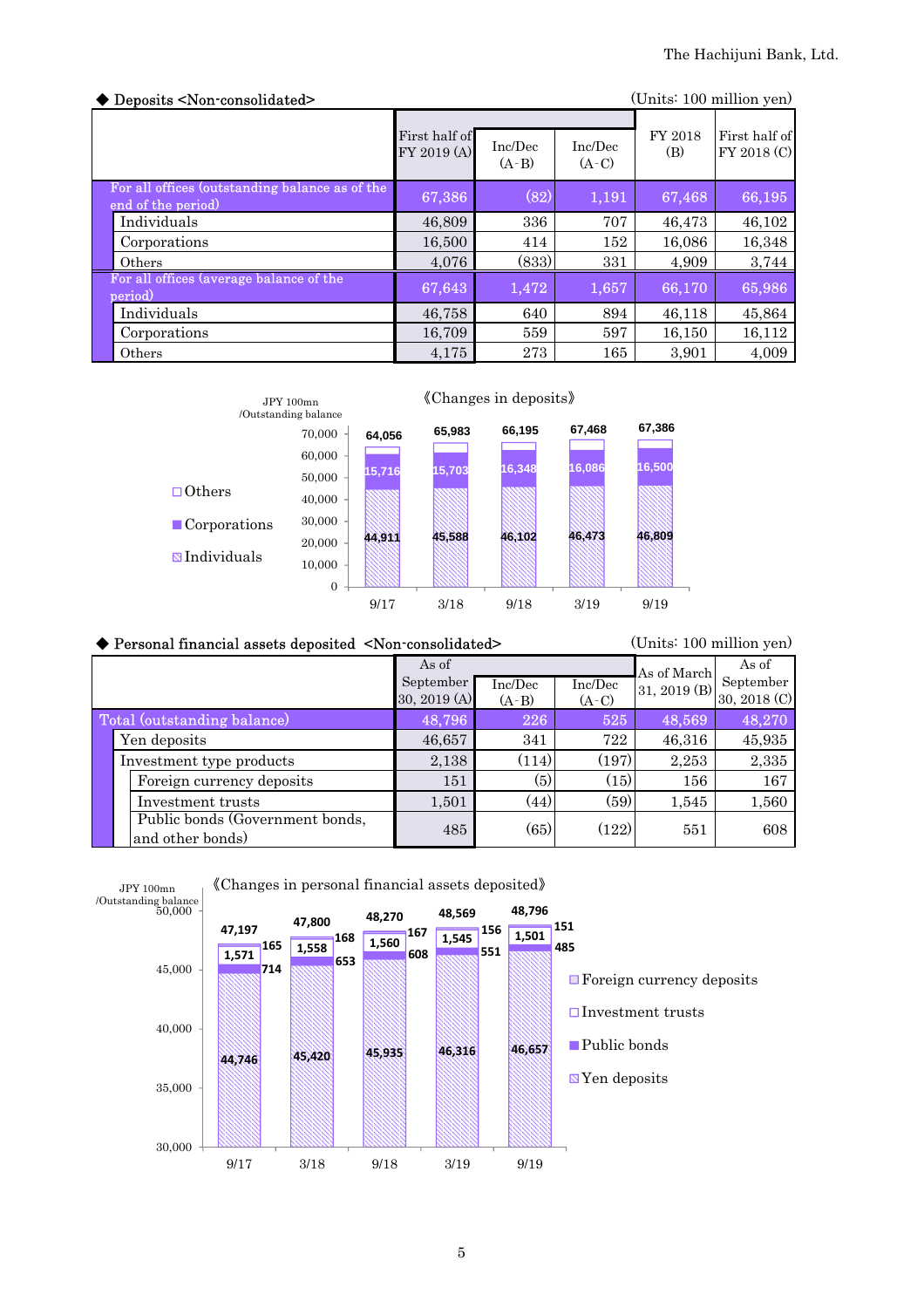| Deposits <non-consolidated></non-consolidated>                       |                              |                    |                    |                | (Units: 100 million yen)     |
|----------------------------------------------------------------------|------------------------------|--------------------|--------------------|----------------|------------------------------|
|                                                                      | First half of<br>FY 2019 (A) | Inc/Dec<br>$(A-B)$ | Inc/Dec<br>$(A-C)$ | FY 2018<br>(B) | First half of<br>FY 2018 (C) |
| For all offices (outstanding balance as of the<br>end of the period) | 67,386                       | (82)               | 1,191              | 67,468         | 66,195                       |
| Individuals                                                          | 46,809                       | 336                | 707                | 46,473         | 46,102                       |
| Corporations                                                         | 16,500                       | 414                | 152                | 16,086         | 16,348                       |
| Others                                                               | 4,076                        | (833)              | 331                | 4,909          | 3,744                        |
| For all offices (average balance of the<br>period)                   | 67,643                       | 1,472              | 1,657              | 66,170         | 65,986                       |
| Individuals                                                          | 46,758                       | 640                | 894                | 46,118         | 45,864                       |
| Corporations                                                         | 16.709                       | 559                | 597                | 16,150         | 16,112                       |
| Others                                                               | 4,175                        | 273                | 165                | 3,901          | 4,009                        |



#### ◆ Personal financial assets deposited <Non-consolidated>
(Units: 100 million yen) Inc/Dec  $(A-B)$ Inc/Dec  $(A-C)$  Total (outstanding balance) 48,796 226 525 48,569 48,270 Yen deposits 16,657 341 722 46,316 45,935 Investment type products 2,138  $(114) (197) (197) (2,253) (2,335)$ Foreign currency deposits 151 (5)  $(15)$  156 167 Investment trusts 1,501 (44) (59) 1,545 1,560 485 (65) (122) 551 608 Public bonds (Government bonds, and other bonds) As of September 30, 2019 (A) As of March 31, 2019 (B) As of September 30, 2018 (C)

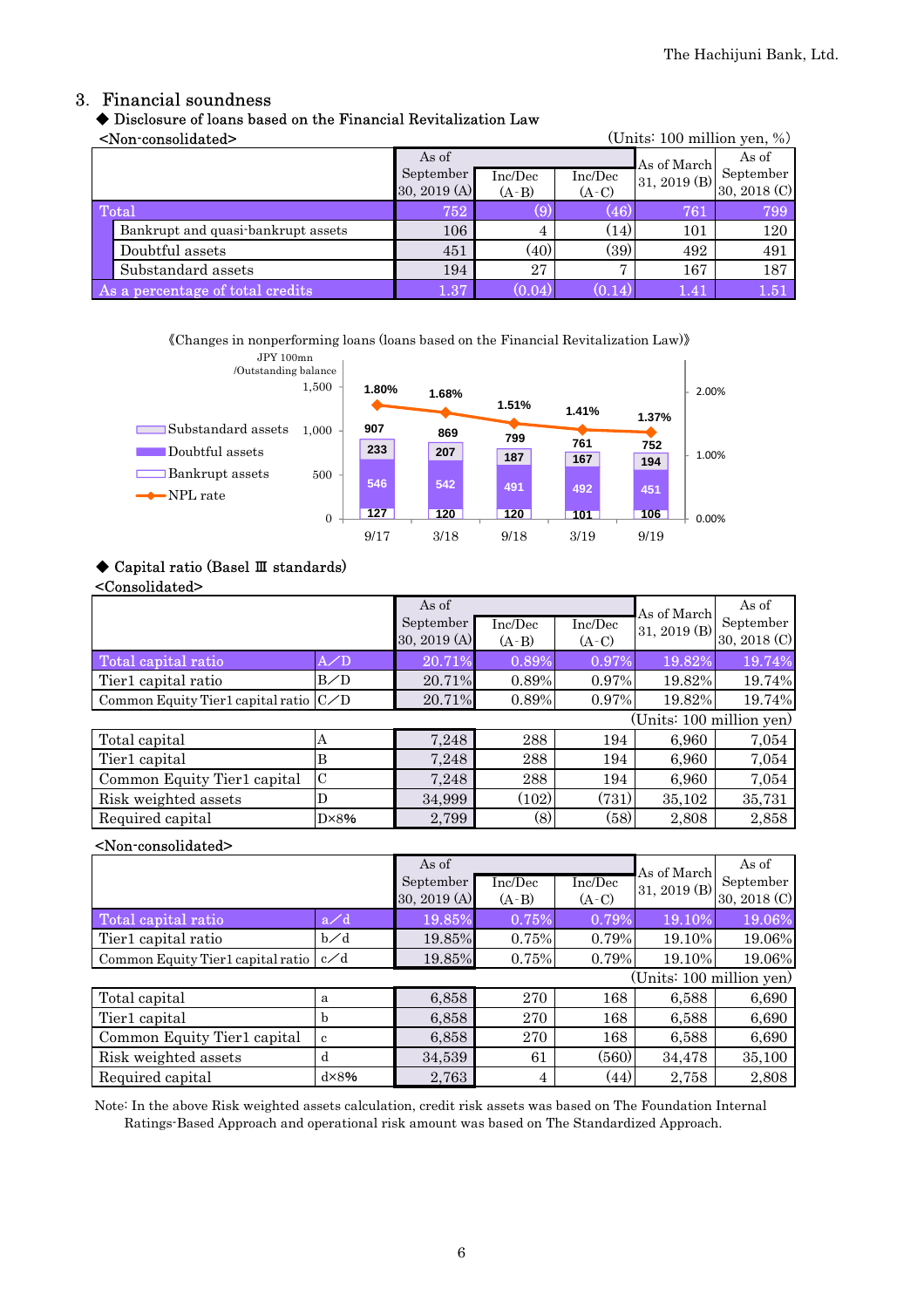### 3. Financial soundness

### ◆ Disclosure of loans based on the Financial Revitalization Law

<Non-consolidated> (Units: 100 million yen, %)

|       | -TWT composition of                |              |         |                | $\overline{O}$ and $\overline{O}$ and $\overline{O}$ and $\overline{O}$ and $\overline{O}$ |              |
|-------|------------------------------------|--------------|---------|----------------|--------------------------------------------------------------------------------------------|--------------|
| As of |                                    |              |         |                | As of March                                                                                | As of        |
|       |                                    | September    | Inc/Dec | Inc/Dec        | 31, 2019 (B)                                                                               | September    |
|       |                                    | 30, 2019 (A) | $(A-B)$ | $(A-C)$        |                                                                                            | 30, 2018 (C) |
|       | Total                              | 752          | (9)     | (46)           | 761                                                                                        | 799          |
|       | Bankrupt and quasi-bankrupt assets | 106          | 4       | (14)           | 101                                                                                        | 120          |
|       | Doubtful assets                    | 451          | (40)    | (39)           | 492                                                                                        | 491          |
|       | Substandard assets                 | 194          | 27      | $\overline{ }$ | 167                                                                                        | 187          |
|       | As a percentage of total credits   | 1.37         | (0.04)  | 0.14           | 1.41                                                                                       | 1.51         |

《Changes in nonperforming loans (loans based on the Financial Revitalization Law)》



#### ◆ Capital ratio (Basel Ⅲ standards)

#### <Consolidated>

|                                         |                | As of<br>September<br>30, 2019 $(A)$ | Inc/Dec<br>$(A-B)$ | Inc/Dec<br>$(A-C)$ | As of March<br>31, 2019 (B) | As of<br>September<br>30, 2018 (C) |
|-----------------------------------------|----------------|--------------------------------------|--------------------|--------------------|-----------------------------|------------------------------------|
| Total capital ratio                     | $A$ /D         | 20.71%                               | 0.89%              | 0.97%              | 19.82%                      | 19.74%                             |
| Tier1 capital ratio                     | B/D            | 20.71%                               | 0.89%              | $0.97\%$           | 19.82%                      | 19.74%                             |
| Common Equity Tier1 capital ratio $C/D$ |                | 20.71%                               | 0.89%              | 0.97%              | 19.82%                      | 19.74%                             |
|                                         |                |                                      |                    |                    | (Units: 100 million yen)    |                                    |
| Total capital                           | А              | 7,248                                | 288                | 194                | 6,960                       | 7,054                              |
| Tier1 capital                           | B              | 7,248                                | 288                | 194                | 6,960                       | 7,054                              |
| Common Equity Tier1 capital             | $\mathcal{C}$  | 7,248                                | 288                | 194                | 6,960                       | 7,054                              |
| Risk weighted assets                    | D              | 34,999                               | (102)              | (731)              | 35,102                      | 35,731                             |
| Required capital                        | $D \times 8\%$ | 2,799                                | (8)                | (58)               | 2,808                       | 2,858                              |

#### <Non-consolidated>

|                                           |             | As of<br>September<br>30, 2019 (A) | Inc/Dec<br>$(A-B)$ | Inc/Dec<br>$(A-C)$ | As of March<br>31, 2019 (B) | As of<br>September<br>30, 2018 (C) |
|-------------------------------------------|-------------|------------------------------------|--------------------|--------------------|-----------------------------|------------------------------------|
| Total capital ratio                       | a/d         | 19.85%                             | 0.75%              | 0.79%              | 19.10%                      | 19.06%                             |
| Tier1 capital ratio                       | $b\angle d$ | 19.85%                             | 0.75%              | 0.79%              | 19.10%                      | 19.06%                             |
| Common Equity Tier1 capital ratio $ c/d $ |             | 19.85%                             | 0.75%              | 0.79%              | 19.10%                      | 19.06%                             |
|                                           |             |                                    |                    |                    | (Units: 100 million yen)    |                                    |
| Total capital                             | a           | 6,858                              | 270                | 168                | 6,588                       | 6,690                              |
| Tier1 capital                             | h           | 6,858                              | 270                | 168                | 6,588                       | 6,690                              |
| Common Equity Tier1 capital               | c           | 6,858                              | 270                | 168                | 6,588                       | 6,690                              |
| Risk weighted assets                      | d           | 34,539                             | 61                 | (560)              | 34,478                      | 35,100                             |
| Required capital                          | dx8%        | 2,763                              | $\overline{4}$     | (44)               | 2,758                       | 2,808                              |

Note: In the above Risk weighted assets calculation, credit risk assets was based on The Foundation Internal Ratings-Based Approach and operational risk amount was based on The Standardized Approach.